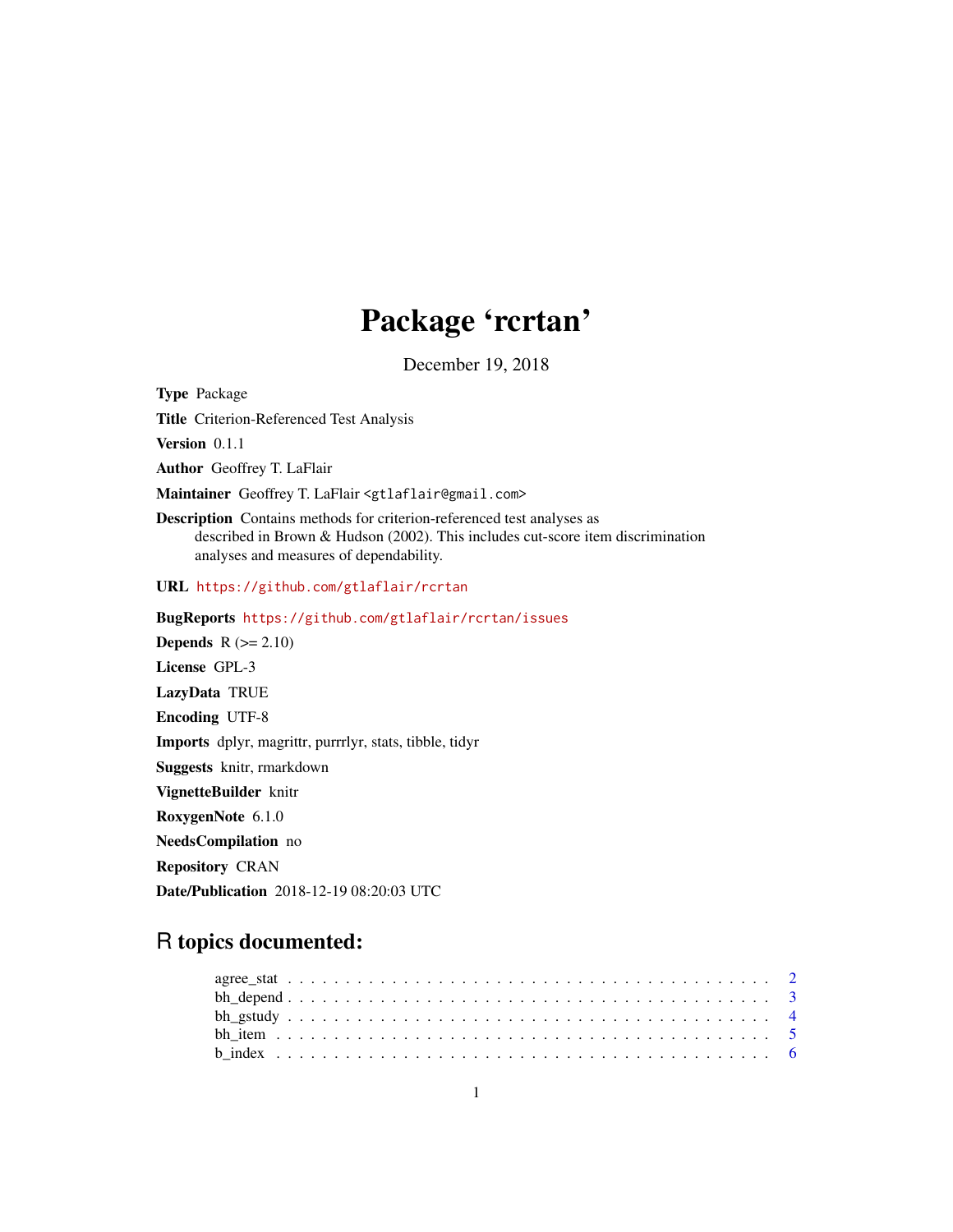## Package 'rcrtan'

December 19, 2018

Type Package Title Criterion-Referenced Test Analysis Version 0.1.1 Author Geoffrey T. LaFlair Maintainer Geoffrey T. LaFlair <gtlaflair@gmail.com> Description Contains methods for criterion-referenced test analyses as described in Brown & Hudson (2002). This includes cut-score item discrimination analyses and measures of dependability. URL <https://github.com/gtlaflair/rcrtan> BugReports <https://github.com/gtlaflair/rcrtan/issues> **Depends**  $R$  ( $>= 2.10$ ) License GPL-3 LazyData TRUE Encoding UTF-8 Imports dplyr, magrittr, purrrlyr, stats, tibble, tidyr Suggests knitr, rmarkdown VignetteBuilder knitr RoxygenNote 6.1.0 NeedsCompilation no

Repository CRAN

Date/Publication 2018-12-19 08:20:03 UTC

### R topics documented: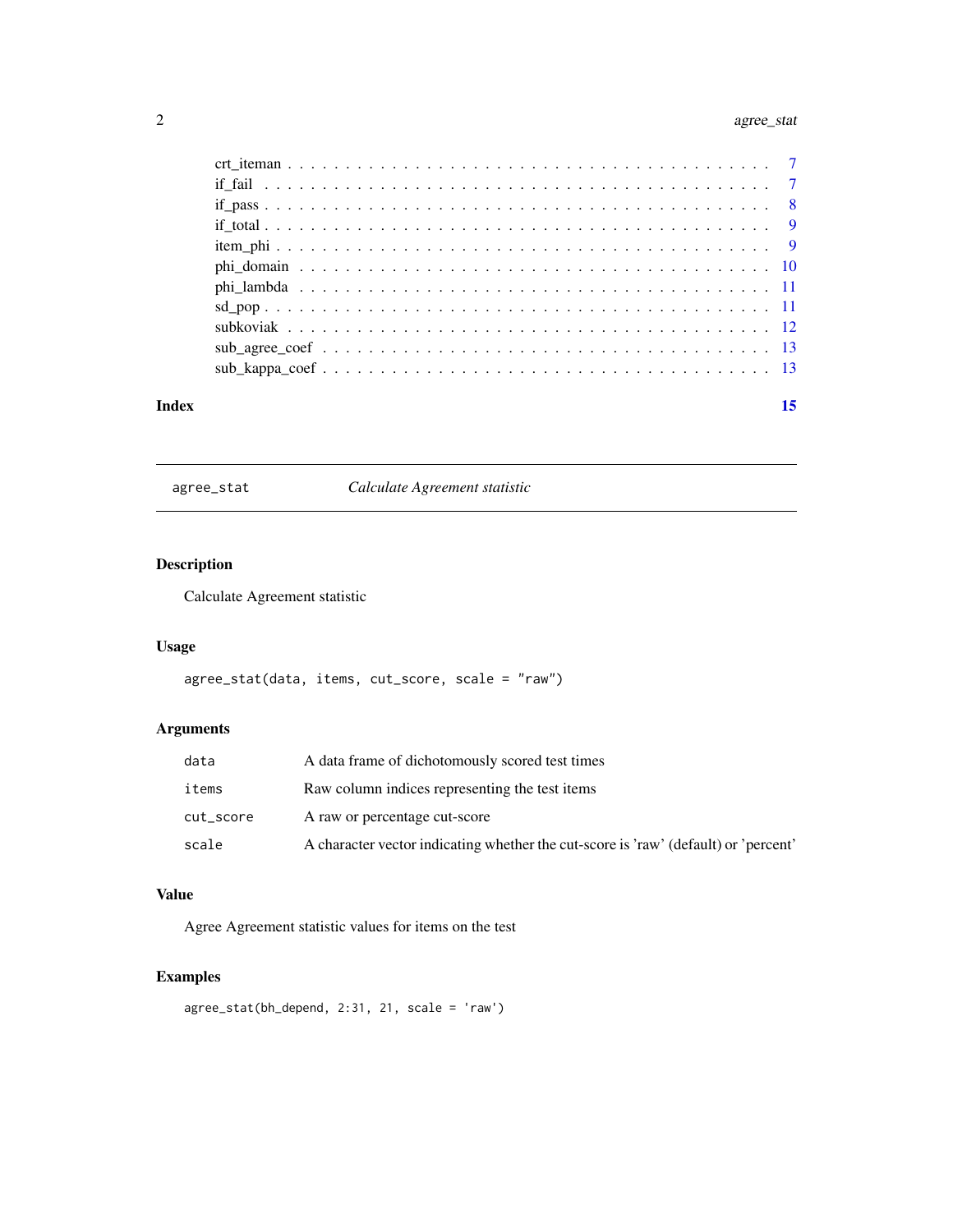#### <span id="page-1-0"></span>2 agree\_stat

agree\_stat *Calculate Agreement statistic*

#### Description

Calculate Agreement statistic

#### Usage

agree\_stat(data, items, cut\_score, scale = "raw")

#### Arguments

| data      | A data frame of dichotomously scored test times                                     |
|-----------|-------------------------------------------------------------------------------------|
| items     | Raw column indices representing the test items                                      |
| cut_score | A raw or percentage cut-score                                                       |
| scale     | A character vector indicating whether the cut-score is 'raw' (default) or 'percent' |

#### Value

Agree Agreement statistic values for items on the test

```
agree_stat(bh_depend, 2:31, 21, scale = 'raw')
```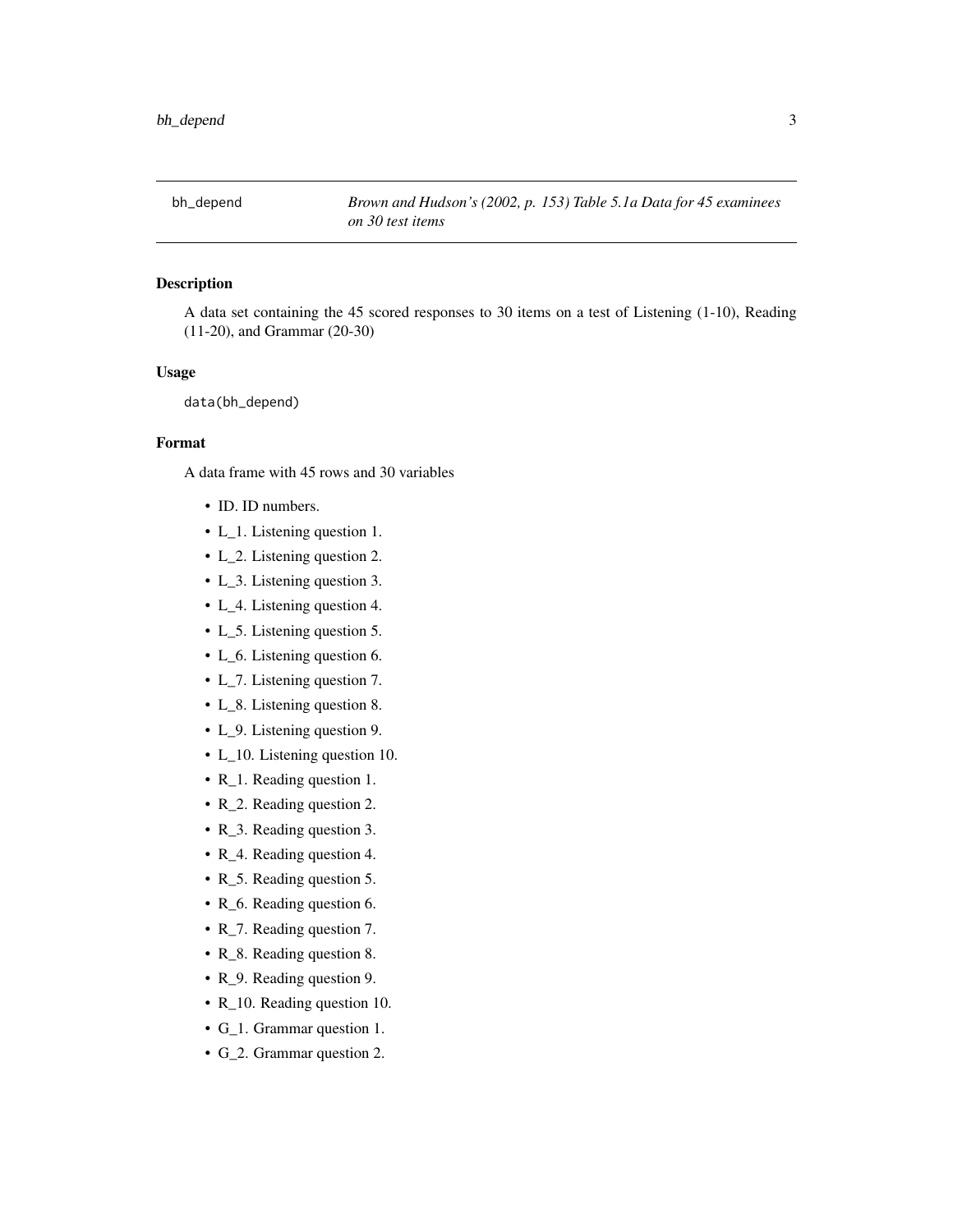<span id="page-2-0"></span>

A data set containing the 45 scored responses to 30 items on a test of Listening (1-10), Reading (11-20), and Grammar (20-30)

#### Usage

data(bh\_depend)

#### Format

A data frame with 45 rows and 30 variables

- ID. ID numbers.
- L\_1. Listening question 1.
- L\_2. Listening question 2.
- L\_3. Listening question 3.
- L\_4. Listening question 4.
- L\_5. Listening question 5.
- L\_6. Listening question 6.
- L\_7. Listening question 7.
- L\_8. Listening question 8.
- L\_9. Listening question 9.
- L\_10. Listening question 10.
- R\_1. Reading question 1.
- R\_2. Reading question 2.
- R\_3. Reading question 3.
- R\_4. Reading question 4.
- R\_5. Reading question 5.
- R\_6. Reading question 6.
- R\_7. Reading question 7.
- R\_8. Reading question 8.
- R\_9. Reading question 9.
- R\_10. Reading question 10.
- G\_1. Grammar question 1.
- G\_2. Grammar question 2.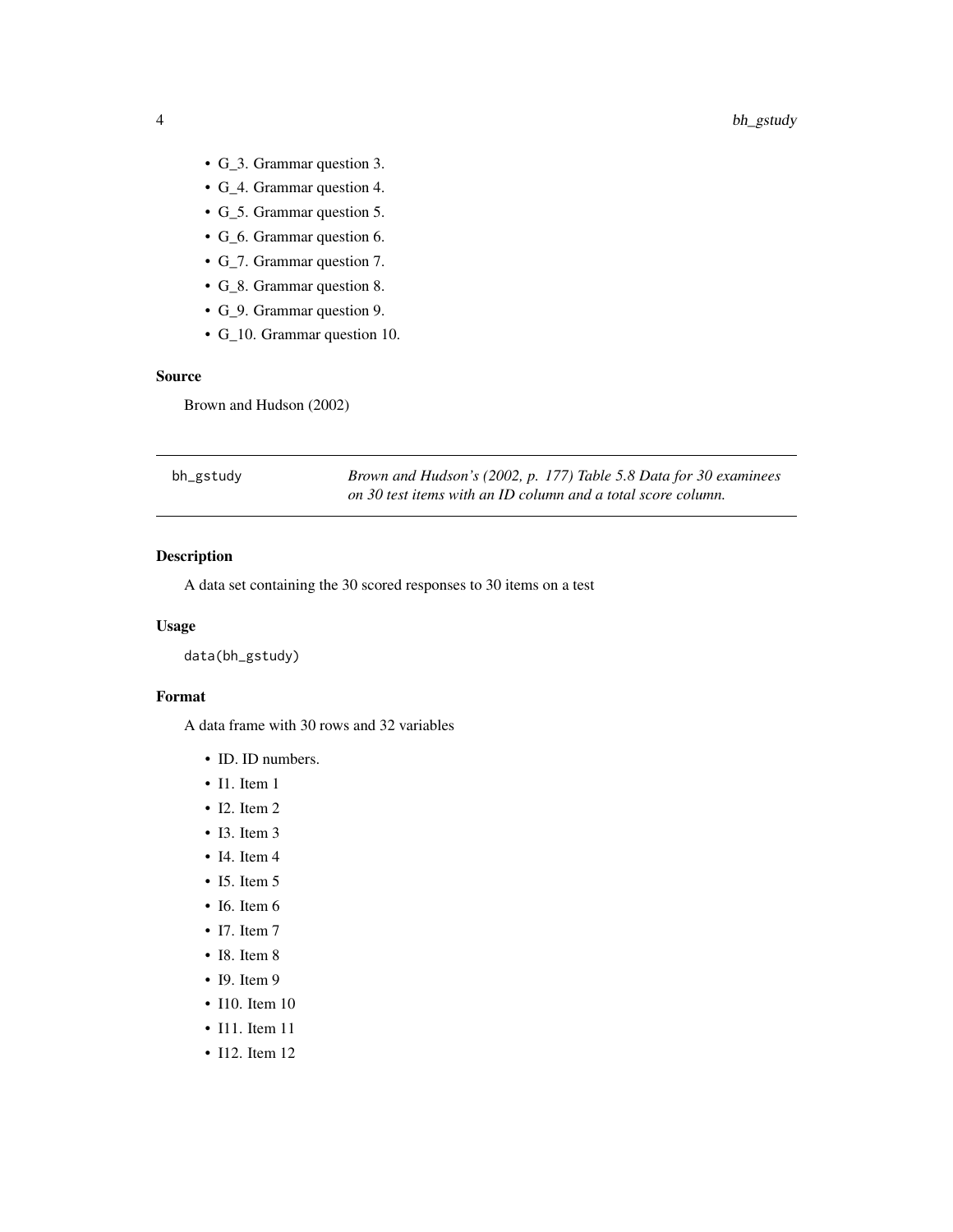- <span id="page-3-0"></span>• G\_3. Grammar question 3.
- G\_4. Grammar question 4.
- G\_5. Grammar question 5.
- G\_6. Grammar question 6.
- G\_7. Grammar question 7.
- G\_8. Grammar question 8.
- G\_9. Grammar question 9.
- G\_10. Grammar question 10.

#### Source

Brown and Hudson (2002)

| bh_gstudy | Brown and Hudson's (2002, p. 177) Table 5.8 Data for 30 examinees |
|-----------|-------------------------------------------------------------------|
|           | on 30 test items with an ID column and a total score column.      |

#### Description

A data set containing the 30 scored responses to 30 items on a test

#### Usage

data(bh\_gstudy)

#### Format

A data frame with 30 rows and 32 variables

- ID. ID numbers.
- I1. Item 1
- I2. Item 2
- I3. Item 3
- I4. Item 4
- I5. Item 5
- I6. Item 6
- I7. Item 7
- I8. Item 8
- I9. Item 9
- I10. Item 10
- I11. Item 11
- I12. Item 12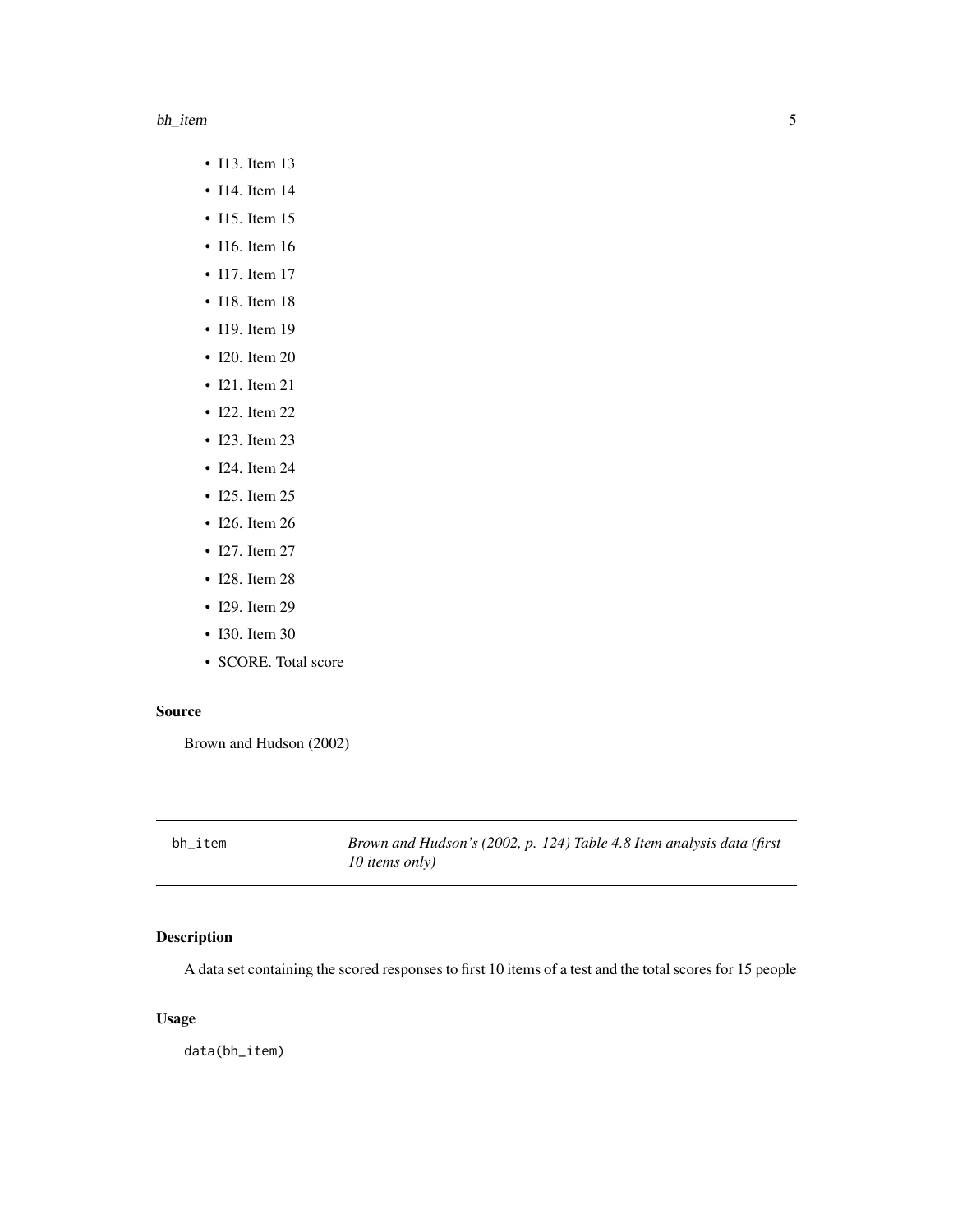#### <span id="page-4-0"></span>bh\_item 5

- I13. Item 13
- I14. Item 14
- I15. Item 15
- I16. Item 16
- I17. Item 17
- I18. Item 18
- I19. Item 19
- I20. Item 20
- I21. Item 21
- I22. Item 22
- I23. Item 23
- I24. Item 24
- I25. Item 25
- I26. Item 26
- I27. Item 27
- I28. Item 28
- I29. Item 29
- I30. Item 30
- SCORE. Total score

#### Source

Brown and Hudson (2002)

bh\_item *Brown and Hudson's (2002, p. 124) Table 4.8 Item analysis data (first 10 items only)*

#### Description

A data set containing the scored responses to first 10 items of a test and the total scores for 15 people

#### Usage

data(bh\_item)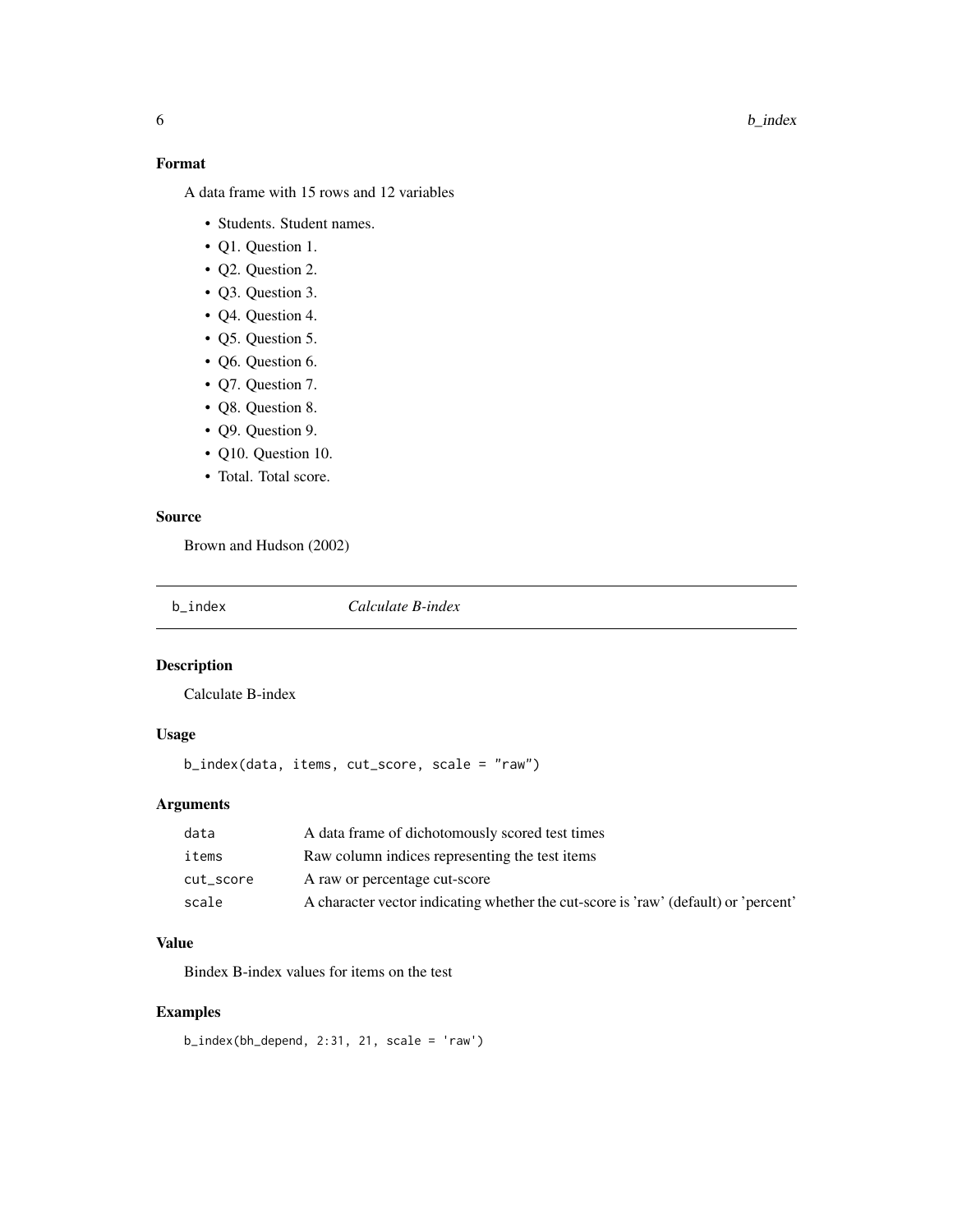#### 6 b\_index b\_index b\_index b\_index b\_index b\_index b\_index b\_index b\_index b\_index b\_index b\_index b\_index b\_index b\_index b\_index b\_index b\_index b\_index b\_index b\_index b\_index b\_index b\_index b\_index b\_index b\_index b\_in

#### Format

A data frame with 15 rows and 12 variables

- Students. Student names.
- Q1. Question 1.
- Q2. Question 2.
- Q3. Question 3.
- Q4. Question 4.
- Q5. Question 5.
- Q6. Question 6.
- Q7. Question 7.
- Q8. Question 8.
- Q9. Question 9.
- Q10. Question 10.
- Total. Total score.

#### Source

Brown and Hudson (2002)

b\_index *Calculate B-index*

#### Description

Calculate B-index

#### Usage

```
b_index(data, items, cut_score, scale = "raw")
```
#### Arguments

| data      | A data frame of dichotomously scored test times                                     |
|-----------|-------------------------------------------------------------------------------------|
| items     | Raw column indices representing the test items                                      |
| cut_score | A raw or percentage cut-score                                                       |
| scale     | A character vector indicating whether the cut-score is 'raw' (default) or 'percent' |

#### Value

Bindex B-index values for items on the test

#### Examples

b\_index(bh\_depend, 2:31, 21, scale = 'raw')

<span id="page-5-0"></span>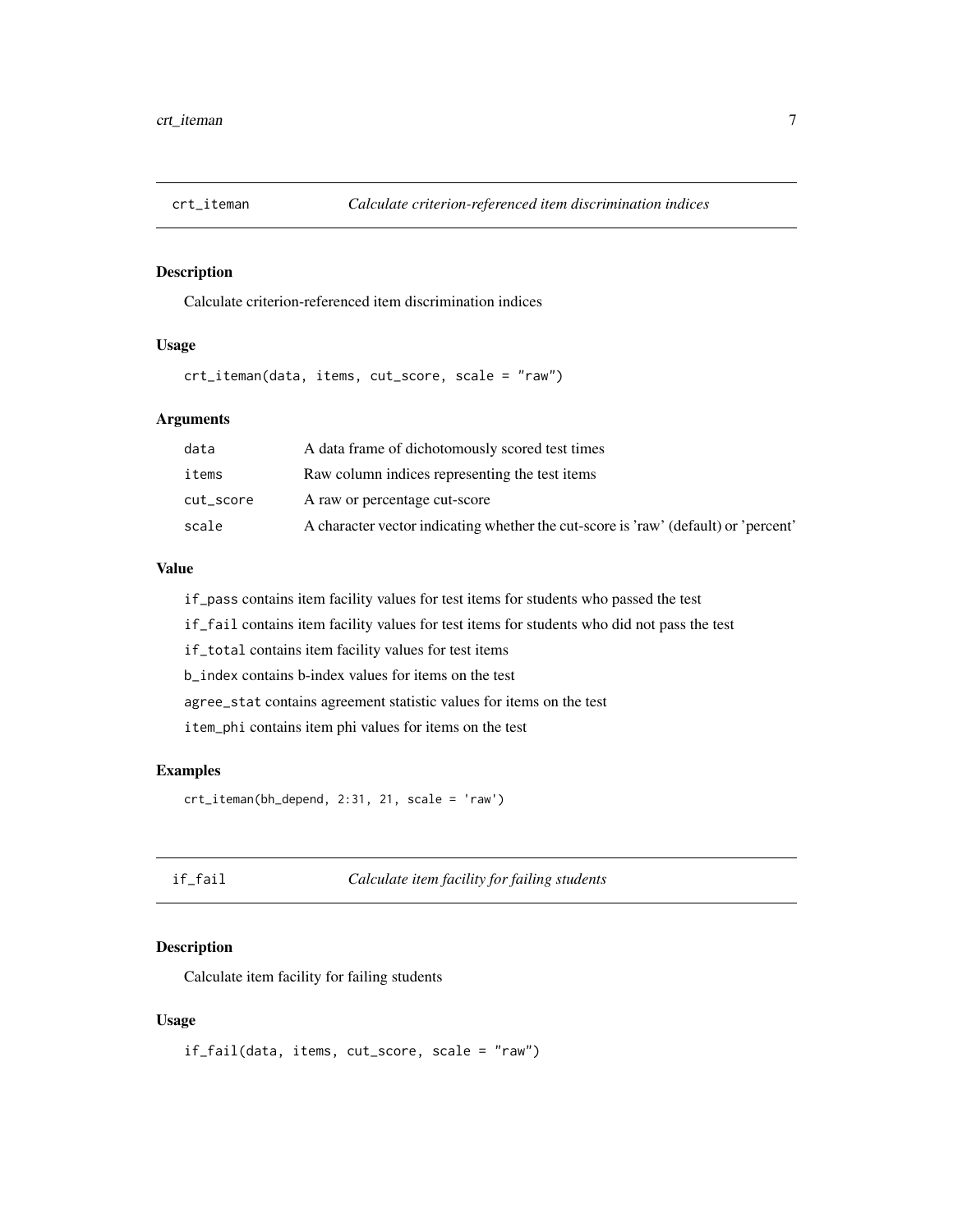<span id="page-6-0"></span>

Calculate criterion-referenced item discrimination indices

#### Usage

crt\_iteman(data, items, cut\_score, scale = "raw")

#### Arguments

| data      | A data frame of dichotomously scored test times                                     |
|-----------|-------------------------------------------------------------------------------------|
| items     | Raw column indices representing the test items                                      |
| cut_score | A raw or percentage cut-score                                                       |
| scale     | A character vector indicating whether the cut-score is 'raw' (default) or 'percent' |

#### Value

if\_pass contains item facility values for test items for students who passed the test

if\_fail contains item facility values for test items for students who did not pass the test

if\_total contains item facility values for test items

b\_index contains b-index values for items on the test

agree\_stat contains agreement statistic values for items on the test

item\_phi contains item phi values for items on the test

#### Examples

crt\_iteman(bh\_depend, 2:31, 21, scale = 'raw')

#### if\_fail *Calculate item facility for failing students*

#### Description

Calculate item facility for failing students

#### Usage

if\_fail(data, items, cut\_score, scale = "raw")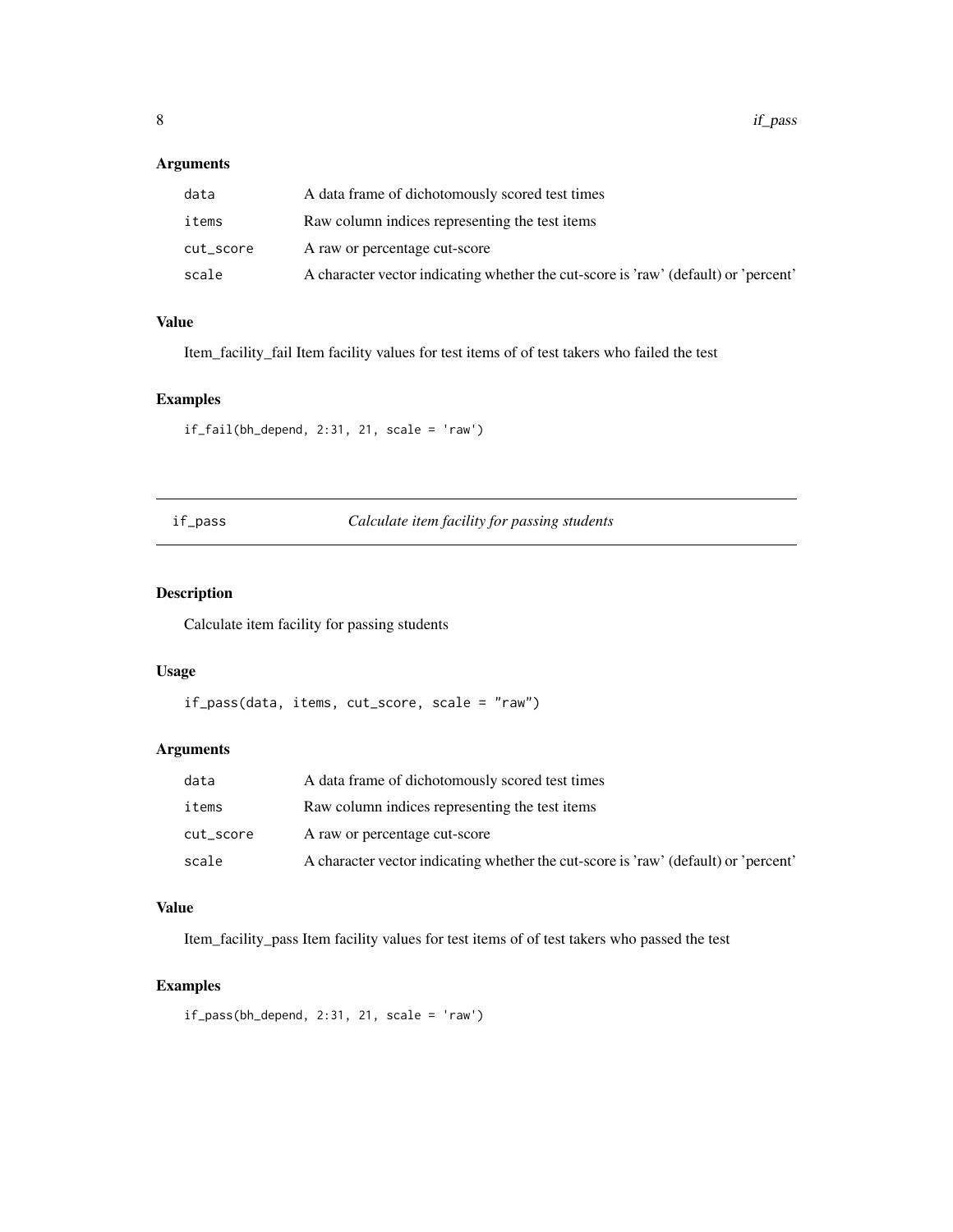#### <span id="page-7-0"></span>Arguments

| data      | A data frame of dichotomously scored test times                                     |
|-----------|-------------------------------------------------------------------------------------|
| items     | Raw column indices representing the test items                                      |
| cut_score | A raw or percentage cut-score                                                       |
| scale     | A character vector indicating whether the cut-score is 'raw' (default) or 'percent' |

#### Value

Item\_facility\_fail Item facility values for test items of of test takers who failed the test

#### Examples

```
if\_fail(bh\_depend, 2:31, 21, scale = 'raw')
```
#### if\_pass *Calculate item facility for passing students*

#### Description

Calculate item facility for passing students

#### Usage

```
if_pass(data, items, cut_score, scale = "raw")
```
#### Arguments

| data      | A data frame of dichotomously scored test times                                     |
|-----------|-------------------------------------------------------------------------------------|
| items     | Raw column indices representing the test items                                      |
| cut_score | A raw or percentage cut-score                                                       |
| scale     | A character vector indicating whether the cut-score is 'raw' (default) or 'percent' |

#### Value

Item\_facility\_pass Item facility values for test items of of test takers who passed the test

```
if_{pass(bh_{depend}, 2:31, 21, scale = 'raw')
```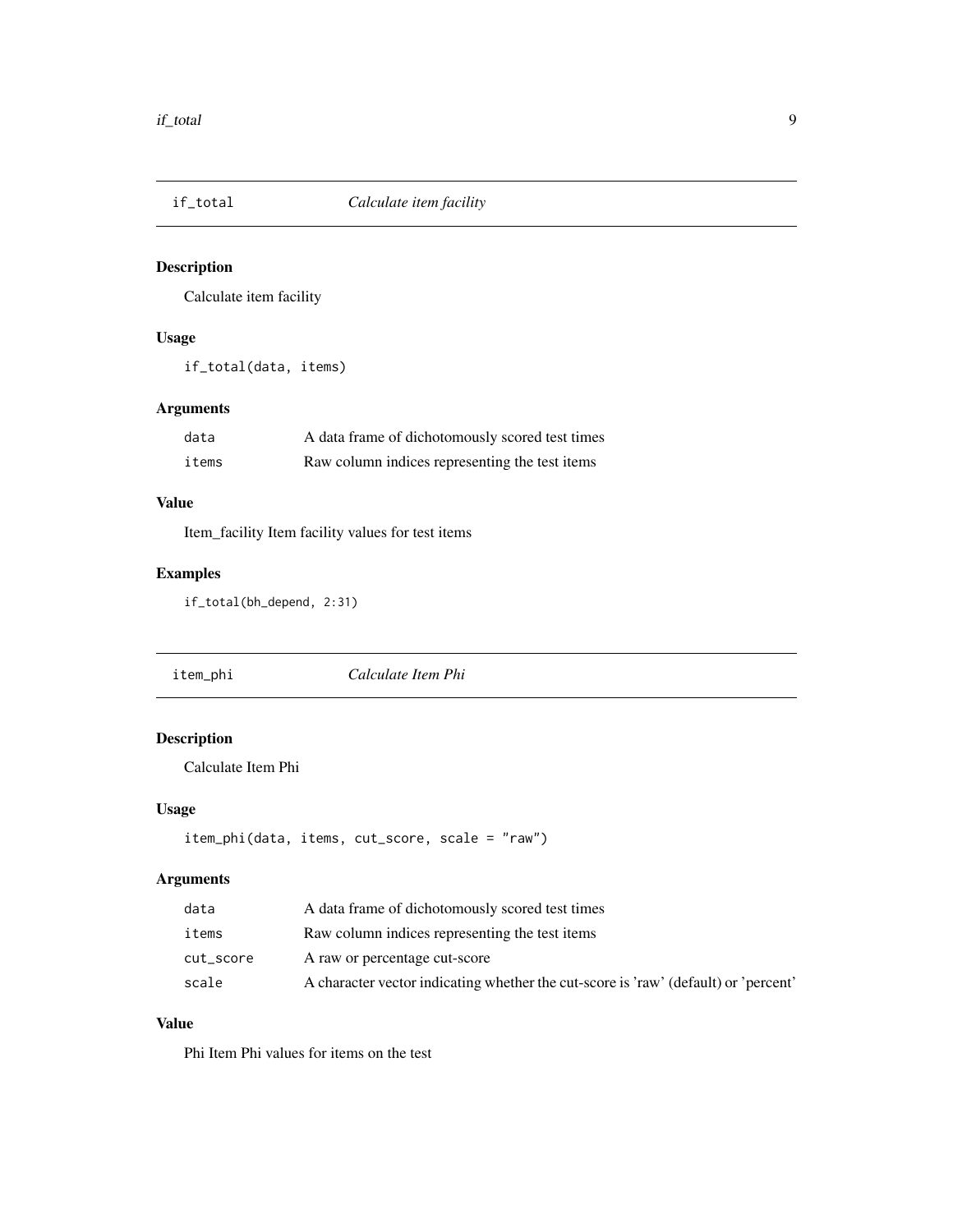<span id="page-8-0"></span>

Calculate item facility

#### Usage

if\_total(data, items)

#### Arguments

| data  | A data frame of dichotomously scored test times |
|-------|-------------------------------------------------|
| items | Raw column indices representing the test items  |

#### Value

Item\_facility Item facility values for test items

#### Examples

if\_total(bh\_depend, 2:31)

| item_phi | Calculate Item Phi |  |
|----------|--------------------|--|
|----------|--------------------|--|

#### Description

Calculate Item Phi

#### Usage

```
item_phi(data, items, cut_score, scale = "raw")
```
#### Arguments

| data      | A data frame of dichotomously scored test times                                     |
|-----------|-------------------------------------------------------------------------------------|
| items     | Raw column indices representing the test items                                      |
| cut_score | A raw or percentage cut-score                                                       |
| scale     | A character vector indicating whether the cut-score is 'raw' (default) or 'percent' |

#### Value

Phi Item Phi values for items on the test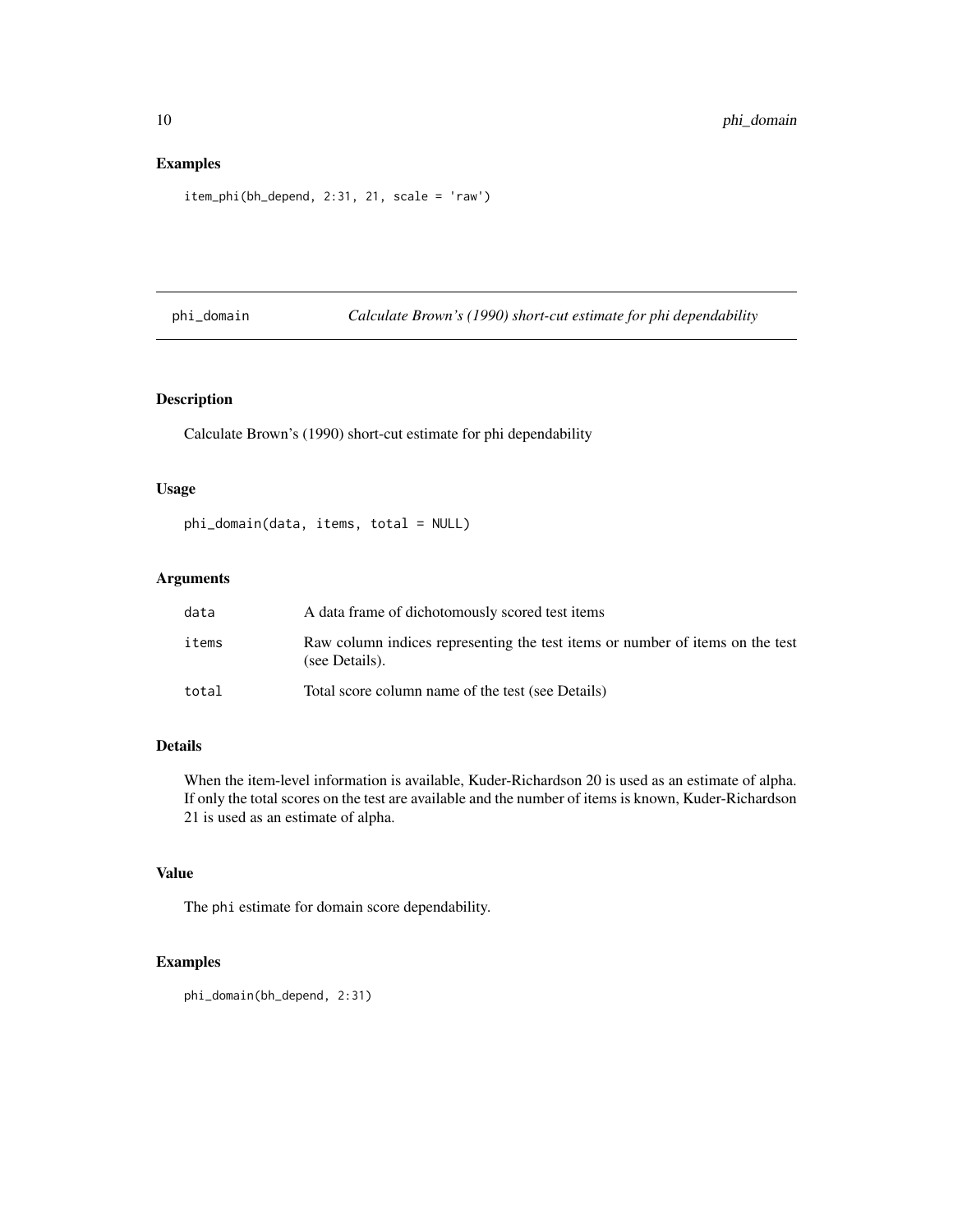#### <span id="page-9-0"></span>Examples

```
item_phi(bh_depend, 2:31, 21, scale = 'raw')
```
phi\_domain *Calculate Brown's (1990) short-cut estimate for phi dependability*

#### Description

Calculate Brown's (1990) short-cut estimate for phi dependability

#### Usage

```
phi_domain(data, items, total = NULL)
```
#### Arguments

| data  | A data frame of dichotomously scored test items                                                 |
|-------|-------------------------------------------------------------------------------------------------|
| items | Raw column indices representing the test items or number of items on the test<br>(see Details). |
| total | Total score column name of the test (see Details)                                               |

#### Details

When the item-level information is available, Kuder-Richardson 20 is used as an estimate of alpha. If only the total scores on the test are available and the number of items is known, Kuder-Richardson 21 is used as an estimate of alpha.

#### Value

The phi estimate for domain score dependability.

```
phi_domain(bh_depend, 2:31)
```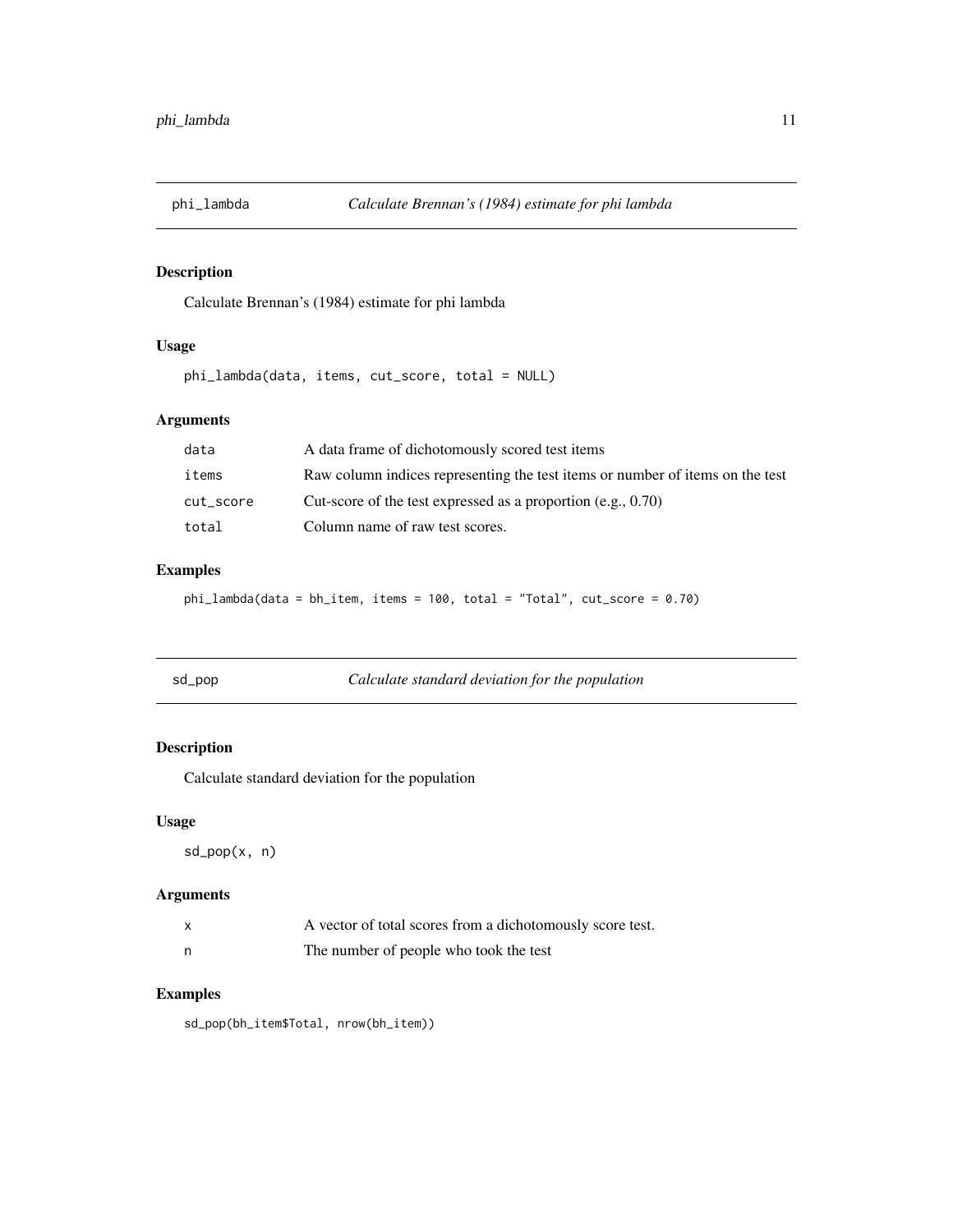<span id="page-10-0"></span>

Calculate Brennan's (1984) estimate for phi lambda

#### Usage

phi\_lambda(data, items, cut\_score, total = NULL)

#### Arguments

| data      | A data frame of dichotomously scored test items                               |
|-----------|-------------------------------------------------------------------------------|
| items     | Raw column indices representing the test items or number of items on the test |
| cut_score | Cut-score of the test expressed as a proportion (e.g., $0.70$ )               |
| total     | Column name of raw test scores.                                               |

#### Examples

phi\_lambda(data = bh\_item, items = 100, total = "Total", cut\_score = 0.70)

| Calculate standard deviation for the population<br>sd_pop |  |
|-----------------------------------------------------------|--|
|-----------------------------------------------------------|--|

#### Description

Calculate standard deviation for the population

#### Usage

sd\_pop(x, n)

#### Arguments

| X   | A vector of total scores from a dichotomously score test. |
|-----|-----------------------------------------------------------|
| - n | The number of people who took the test                    |

#### Examples

sd\_pop(bh\_item\$Total, nrow(bh\_item))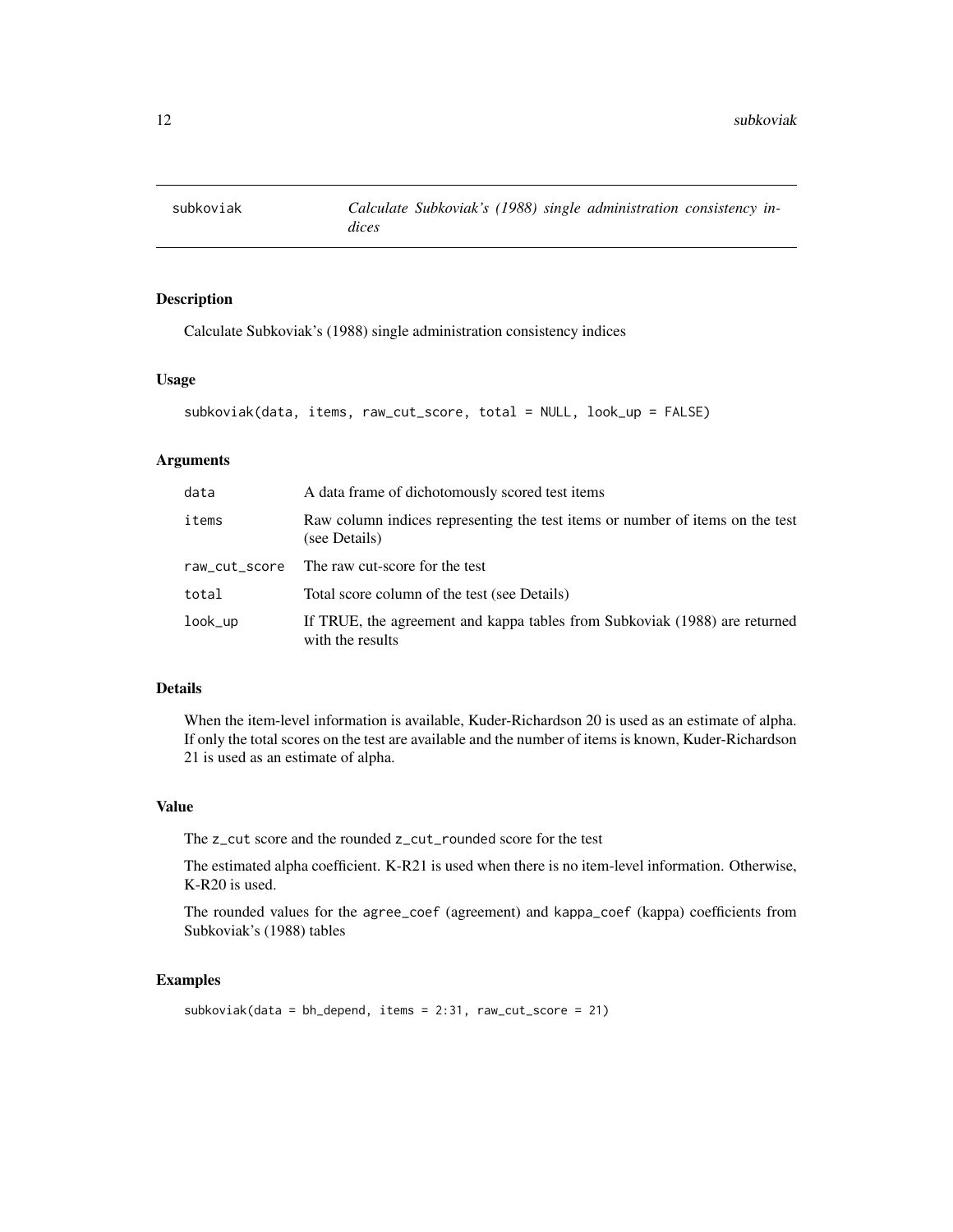<span id="page-11-0"></span>

Calculate Subkoviak's (1988) single administration consistency indices

#### Usage

```
subkoviak(data, items, raw_cut_score, total = NULL, look_up = FALSE)
```
#### Arguments

| data          | A data frame of dichotomously scored test items                                                |  |
|---------------|------------------------------------------------------------------------------------------------|--|
| items         | Raw column indices representing the test items or number of items on the test<br>(see Details) |  |
| raw_cut_score | The raw cut-score for the test                                                                 |  |
| total         | Total score column of the test (see Details)                                                   |  |
| $look_$ up    | If TRUE, the agreement and kappa tables from Subkoviak (1988) are returned<br>with the results |  |

#### Details

When the item-level information is available, Kuder-Richardson 20 is used as an estimate of alpha. If only the total scores on the test are available and the number of items is known, Kuder-Richardson 21 is used as an estimate of alpha.

#### Value

The z\_cut score and the rounded z\_cut\_rounded score for the test

The estimated alpha coefficient. K-R21 is used when there is no item-level information. Otherwise, K-R20 is used.

The rounded values for the agree\_coef (agreement) and kappa\_coef (kappa) coefficients from Subkoviak's (1988) tables

```
subkoviak(data = bh_depend, items = 2:31, raw_cut_score = 21)
```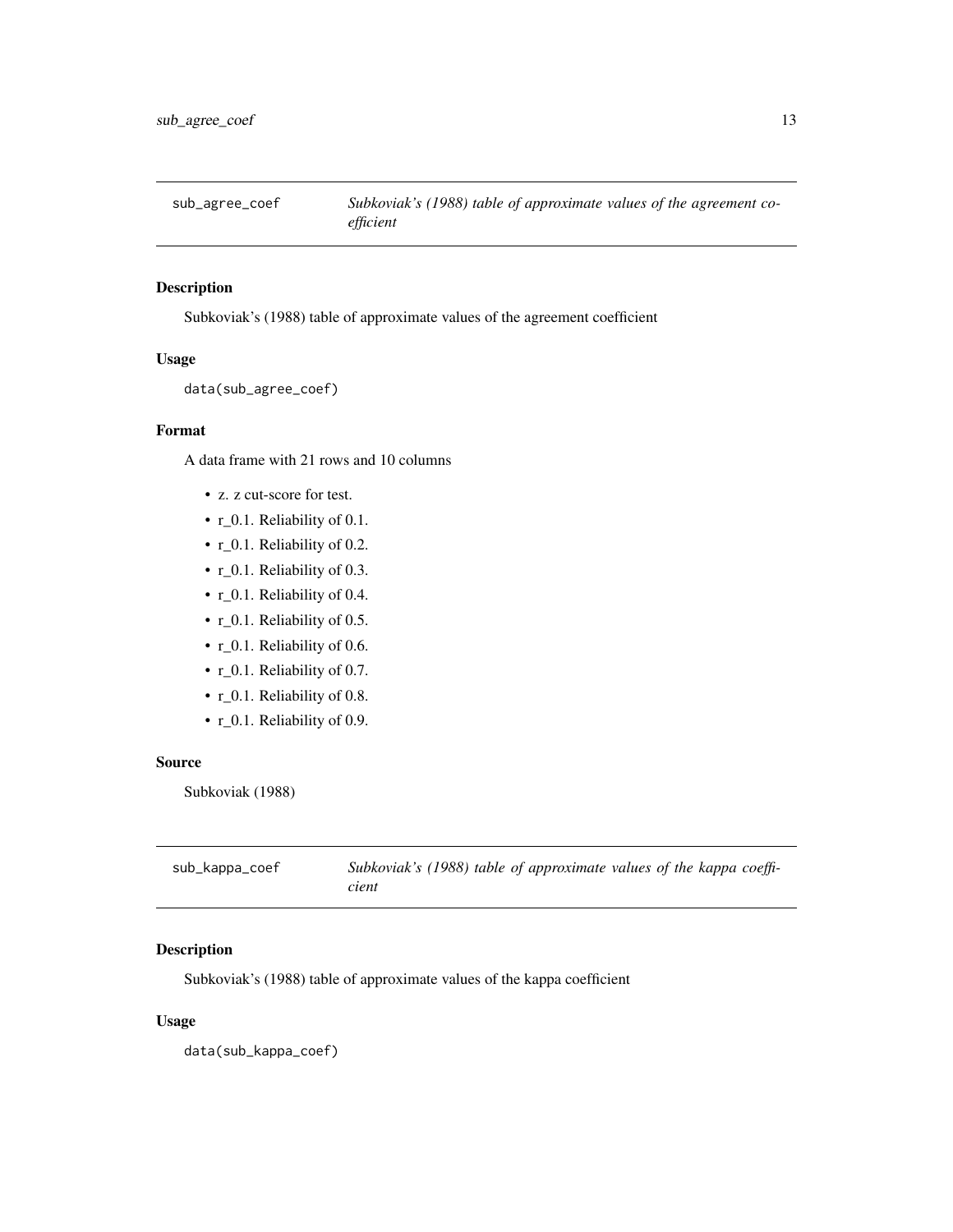<span id="page-12-0"></span>

Subkoviak's (1988) table of approximate values of the agreement coefficient

#### Usage

```
data(sub_agree_coef)
```
#### Format

A data frame with 21 rows and 10 columns

- z. z cut-score for test.
- r\_0.1. Reliability of 0.1.
- r\_0.1. Reliability of 0.2.
- r\_0.1. Reliability of 0.3.
- r\_0.1. Reliability of 0.4.
- r\_0.1. Reliability of 0.5.
- r\_0.1. Reliability of 0.6.
- r\_0.1. Reliability of 0.7.
- r\_0.1. Reliability of 0.8.
- r\_0.1. Reliability of 0.9.

#### Source

Subkoviak (1988)

| sub_kappa_coef | Subkoviak's (1988) table of approximate values of the kappa coeffi- |
|----------------|---------------------------------------------------------------------|
|                | cient                                                               |

#### Description

Subkoviak's (1988) table of approximate values of the kappa coefficient

#### Usage

data(sub\_kappa\_coef)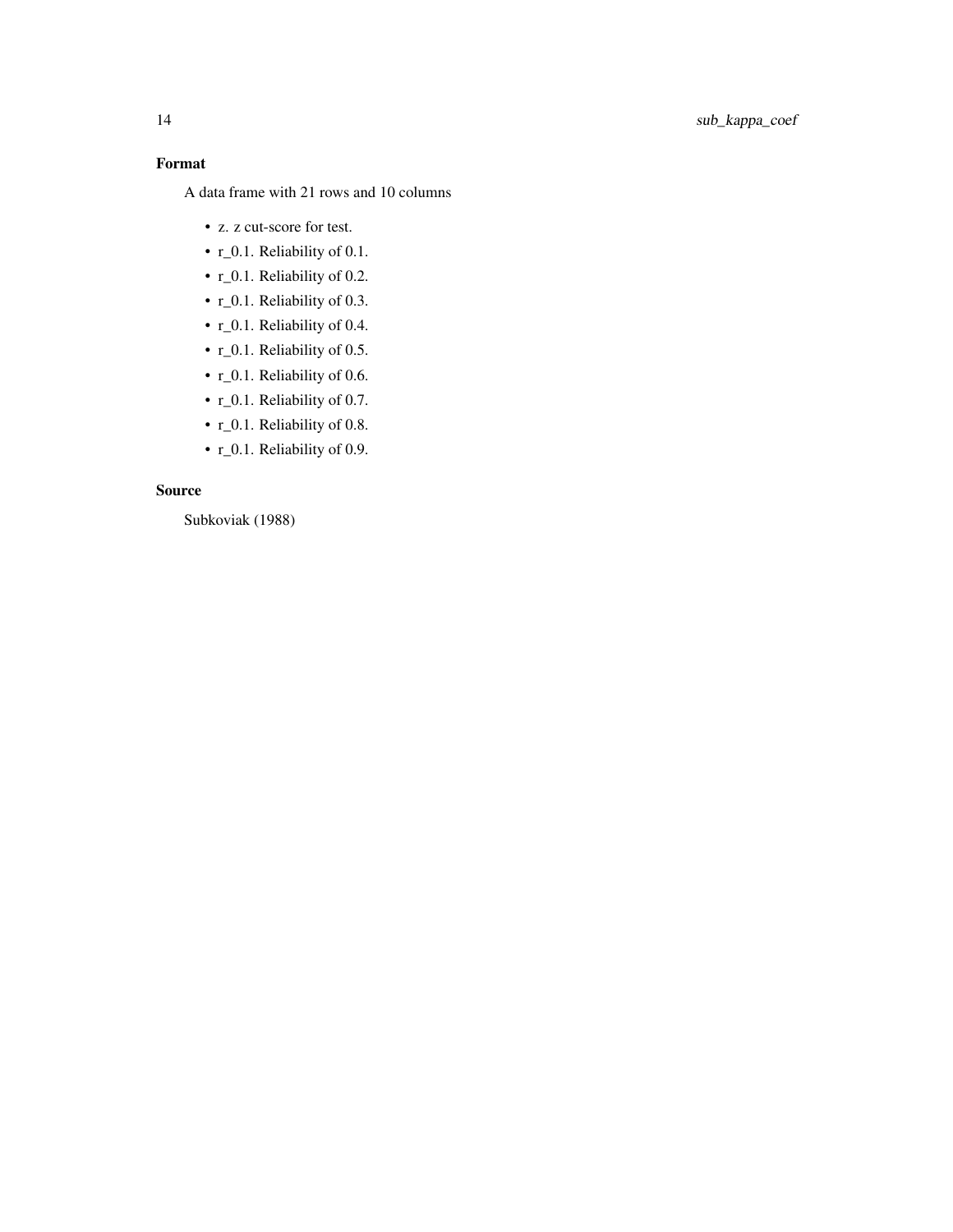#### Format

A data frame with 21 rows and 10 columns

- z. z cut-score for test.
- r\_0.1. Reliability of 0.1.
- r\_0.1. Reliability of 0.2.
- r\_0.1. Reliability of 0.3.
- r\_0.1. Reliability of 0.4.
- r\_0.1. Reliability of 0.5.
- r\_0.1. Reliability of 0.6.
- r\_0.1. Reliability of 0.7.
- r\_0.1. Reliability of 0.8.
- r\_0.1. Reliability of 0.9.

#### Source

Subkoviak (1988)